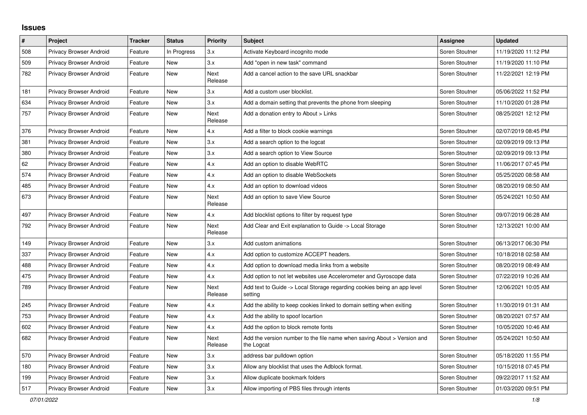## **Issues**

| $\pmb{\#}$ | Project                        | <b>Tracker</b> | <b>Status</b> | <b>Priority</b>        | <b>Subject</b>                                                                        | <b>Assignee</b> | <b>Updated</b>      |
|------------|--------------------------------|----------------|---------------|------------------------|---------------------------------------------------------------------------------------|-----------------|---------------------|
| 508        | Privacy Browser Android        | Feature        | In Progress   | 3.x                    | Activate Keyboard incognito mode                                                      | Soren Stoutner  | 11/19/2020 11:12 PM |
| 509        | Privacy Browser Android        | Feature        | New           | 3.x                    | Add "open in new task" command                                                        | Soren Stoutner  | 11/19/2020 11:10 PM |
| 782        | <b>Privacy Browser Android</b> | Feature        | New           | Next<br>Release        | Add a cancel action to the save URL snackbar                                          | Soren Stoutner  | 11/22/2021 12:19 PM |
| 181        | Privacy Browser Android        | Feature        | New           | 3.x                    | Add a custom user blocklist.                                                          | Soren Stoutner  | 05/06/2022 11:52 PM |
| 634        | <b>Privacy Browser Android</b> | Feature        | New           | 3.x                    | Add a domain setting that prevents the phone from sleeping                            | Soren Stoutner  | 11/10/2020 01:28 PM |
| 757        | <b>Privacy Browser Android</b> | Feature        | New           | Next<br>Release        | Add a donation entry to About > Links                                                 | Soren Stoutner  | 08/25/2021 12:12 PM |
| 376        | Privacy Browser Android        | Feature        | New           | 4.x                    | Add a filter to block cookie warnings                                                 | Soren Stoutner  | 02/07/2019 08:45 PM |
| 381        | <b>Privacy Browser Android</b> | Feature        | New           | 3.x                    | Add a search option to the logcat                                                     | Soren Stoutner  | 02/09/2019 09:13 PM |
| 380        | <b>Privacy Browser Android</b> | Feature        | New           | 3.x                    | Add a search option to View Source                                                    | Soren Stoutner  | 02/09/2019 09:13 PM |
| 62         | <b>Privacy Browser Android</b> | Feature        | <b>New</b>    | 4.x                    | Add an option to disable WebRTC                                                       | Soren Stoutner  | 11/06/2017 07:45 PM |
| 574        | Privacy Browser Android        | Feature        | New           | 4.x                    | Add an option to disable WebSockets                                                   | Soren Stoutner  | 05/25/2020 08:58 AM |
| 485        | <b>Privacy Browser Android</b> | Feature        | New           | 4.x                    | Add an option to download videos                                                      | Soren Stoutner  | 08/20/2019 08:50 AM |
| 673        | Privacy Browser Android        | Feature        | New           | Next<br>Release        | Add an option to save View Source                                                     | Soren Stoutner  | 05/24/2021 10:50 AM |
| 497        | Privacy Browser Android        | Feature        | New           | 4.x                    | Add blocklist options to filter by request type                                       | Soren Stoutner  | 09/07/2019 06:28 AM |
| 792        | Privacy Browser Android        | Feature        | New           | Next<br>Release        | Add Clear and Exit explanation to Guide -> Local Storage                              | Soren Stoutner  | 12/13/2021 10:00 AM |
| 149        | <b>Privacy Browser Android</b> | Feature        | New           | 3.x                    | Add custom animations                                                                 | Soren Stoutner  | 06/13/2017 06:30 PM |
| 337        | Privacy Browser Android        | Feature        | New           | 4.x                    | Add option to customize ACCEPT headers.                                               | Soren Stoutner  | 10/18/2018 02:58 AM |
| 488        | <b>Privacy Browser Android</b> | Feature        | New           | 4.x                    | Add option to download media links from a website                                     | Soren Stoutner  | 08/20/2019 08:49 AM |
| 475        | Privacy Browser Android        | Feature        | New           | 4.x                    | Add option to not let websites use Accelerometer and Gyroscope data                   | Soren Stoutner  | 07/22/2019 10:26 AM |
| 789        | Privacy Browser Android        | Feature        | <b>New</b>    | <b>Next</b><br>Release | Add text to Guide -> Local Storage regarding cookies being an app level<br>setting    | Soren Stoutner  | 12/06/2021 10:05 AM |
| 245        | Privacy Browser Android        | Feature        | <b>New</b>    | 4.x                    | Add the ability to keep cookies linked to domain setting when exiting                 | Soren Stoutner  | 11/30/2019 01:31 AM |
| 753        | Privacy Browser Android        | Feature        | <b>New</b>    | 4.x                    | Add the ability to spoof locartion                                                    | Soren Stoutner  | 08/20/2021 07:57 AM |
| 602        | Privacy Browser Android        | Feature        | New           | 4.x                    | Add the option to block remote fonts                                                  | Soren Stoutner  | 10/05/2020 10:46 AM |
| 682        | Privacy Browser Android        | Feature        | New           | Next<br>Release        | Add the version number to the file name when saving About > Version and<br>the Logcat | Soren Stoutner  | 05/24/2021 10:50 AM |
| 570        | Privacy Browser Android        | Feature        | New           | 3.x                    | address bar pulldown option                                                           | Soren Stoutner  | 05/18/2020 11:55 PM |
| 180        | Privacy Browser Android        | Feature        | New           | 3.x                    | Allow any blocklist that uses the Adblock format.                                     | Soren Stoutner  | 10/15/2018 07:45 PM |
| 199        | Privacy Browser Android        | Feature        | New           | 3.x                    | Allow duplicate bookmark folders                                                      | Soren Stoutner  | 09/22/2017 11:52 AM |
| 517        | <b>Privacy Browser Android</b> | Feature        | New           | 3.x                    | Allow importing of PBS files through intents                                          | Soren Stoutner  | 01/03/2020 09:51 PM |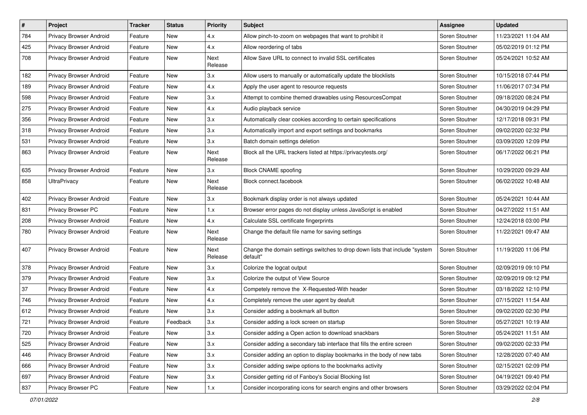| #   | Project                 | <b>Tracker</b> | <b>Status</b> | <b>Priority</b> | Subject                                                                                 | Assignee       | <b>Updated</b>      |
|-----|-------------------------|----------------|---------------|-----------------|-----------------------------------------------------------------------------------------|----------------|---------------------|
| 784 | Privacy Browser Android | Feature        | New           | 4.x             | Allow pinch-to-zoom on webpages that want to prohibit it                                | Soren Stoutner | 11/23/2021 11:04 AM |
| 425 | Privacy Browser Android | Feature        | New           | 4.x             | Allow reordering of tabs                                                                | Soren Stoutner | 05/02/2019 01:12 PM |
| 708 | Privacy Browser Android | Feature        | New           | Next<br>Release | Allow Save URL to connect to invalid SSL certificates                                   | Soren Stoutner | 05/24/2021 10:52 AM |
| 182 | Privacy Browser Android | Feature        | New           | 3.x             | Allow users to manually or automatically update the blocklists                          | Soren Stoutner | 10/15/2018 07:44 PM |
| 189 | Privacy Browser Android | Feature        | New           | 4.x             | Apply the user agent to resource requests                                               | Soren Stoutner | 11/06/2017 07:34 PM |
| 598 | Privacy Browser Android | Feature        | New           | 3.x             | Attempt to combine themed drawables using ResourcesCompat                               | Soren Stoutner | 09/18/2020 08:24 PM |
| 275 | Privacy Browser Android | Feature        | New           | 4.x             | Audio playback service                                                                  | Soren Stoutner | 04/30/2019 04:29 PM |
| 356 | Privacy Browser Android | Feature        | New           | 3.x             | Automatically clear cookies according to certain specifications                         | Soren Stoutner | 12/17/2018 09:31 PM |
| 318 | Privacy Browser Android | Feature        | New           | 3.x             | Automatically import and export settings and bookmarks                                  | Soren Stoutner | 09/02/2020 02:32 PM |
| 531 | Privacy Browser Android | Feature        | New           | 3.x             | Batch domain settings deletion                                                          | Soren Stoutner | 03/09/2020 12:09 PM |
| 863 | Privacy Browser Android | Feature        | New           | Next<br>Release | Block all the URL trackers listed at https://privacytests.org/                          | Soren Stoutner | 06/17/2022 06:21 PM |
| 635 | Privacy Browser Android | Feature        | New           | 3.x             | <b>Block CNAME spoofing</b>                                                             | Soren Stoutner | 10/29/2020 09:29 AM |
| 858 | <b>UltraPrivacy</b>     | Feature        | New           | Next<br>Release | Block connect.facebook                                                                  | Soren Stoutner | 06/02/2022 10:48 AM |
| 402 | Privacy Browser Android | Feature        | New           | 3.x             | Bookmark display order is not always updated                                            | Soren Stoutner | 05/24/2021 10:44 AM |
| 831 | Privacy Browser PC      | Feature        | New           | 1.x             | Browser error pages do not display unless JavaScript is enabled                         | Soren Stoutner | 04/27/2022 11:51 AM |
| 208 | Privacy Browser Android | Feature        | New           | 4.x             | Calculate SSL certificate fingerprints                                                  | Soren Stoutner | 12/24/2018 03:00 PM |
| 780 | Privacy Browser Android | Feature        | New           | Next<br>Release | Change the default file name for saving settings                                        | Soren Stoutner | 11/22/2021 09:47 AM |
| 407 | Privacy Browser Android | Feature        | New           | Next<br>Release | Change the domain settings switches to drop down lists that include "system<br>default" | Soren Stoutner | 11/19/2020 11:06 PM |
| 378 | Privacy Browser Android | Feature        | New           | 3.x             | Colorize the logcat output                                                              | Soren Stoutner | 02/09/2019 09:10 PM |
| 379 | Privacy Browser Android | Feature        | New           | 3.x             | Colorize the output of View Source                                                      | Soren Stoutner | 02/09/2019 09:12 PM |
| 37  | Privacy Browser Android | Feature        | New           | 4.x             | Competely remove the X-Requested-With header                                            | Soren Stoutner | 03/18/2022 12:10 PM |
| 746 | Privacy Browser Android | Feature        | New           | 4.x             | Completely remove the user agent by deafult                                             | Soren Stoutner | 07/15/2021 11:54 AM |
| 612 | Privacy Browser Android | Feature        | New           | 3.x             | Consider adding a bookmark all button                                                   | Soren Stoutner | 09/02/2020 02:30 PM |
| 721 | Privacy Browser Android | Feature        | Feedback      | 3.x             | Consider adding a lock screen on startup                                                | Soren Stoutner | 05/27/2021 10:19 AM |
| 720 | Privacy Browser Android | Feature        | New           | 3.x             | Consider adding a Open action to download snackbars                                     | Soren Stoutner | 05/24/2021 11:51 AM |
| 525 | Privacy Browser Android | Feature        | New           | 3.x             | Consider adding a secondary tab interface that fills the entire screen                  | Soren Stoutner | 09/02/2020 02:33 PM |
| 446 | Privacy Browser Android | Feature        | New           | 3.x             | Consider adding an option to display bookmarks in the body of new tabs                  | Soren Stoutner | 12/28/2020 07:40 AM |
| 666 | Privacy Browser Android | Feature        | New           | 3.x             | Consider adding swipe options to the bookmarks activity                                 | Soren Stoutner | 02/15/2021 02:09 PM |
| 697 | Privacy Browser Android | Feature        | New           | 3.x             | Consider getting rid of Fanboy's Social Blocking list                                   | Soren Stoutner | 04/19/2021 09:40 PM |
| 837 | Privacy Browser PC      | Feature        | New           | 1.x             | Consider incorporating icons for search engins and other browsers                       | Soren Stoutner | 03/29/2022 02:04 PM |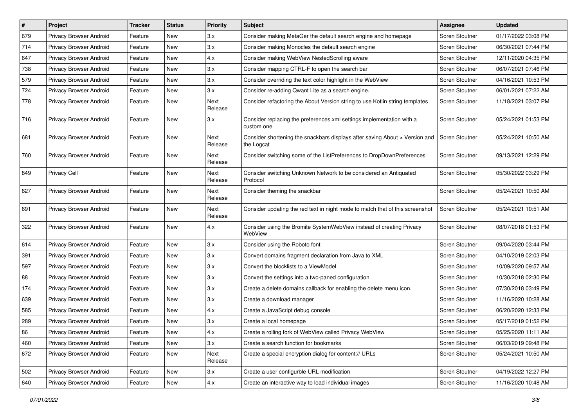| $\pmb{\#}$ | Project                        | <b>Tracker</b> | <b>Status</b> | <b>Priority</b> | Subject                                                                                   | Assignee       | <b>Updated</b>      |
|------------|--------------------------------|----------------|---------------|-----------------|-------------------------------------------------------------------------------------------|----------------|---------------------|
| 679        | Privacy Browser Android        | Feature        | New           | 3.x             | Consider making MetaGer the default search engine and homepage                            | Soren Stoutner | 01/17/2022 03:08 PM |
| 714        | Privacy Browser Android        | Feature        | New           | 3.x             | Consider making Monocles the default search engine                                        | Soren Stoutner | 06/30/2021 07:44 PM |
| 647        | Privacy Browser Android        | Feature        | New           | 4.x             | Consider making WebView NestedScrolling aware                                             | Soren Stoutner | 12/11/2020 04:35 PM |
| 738        | Privacy Browser Android        | Feature        | New           | 3.x             | Consider mapping CTRL-F to open the search bar                                            | Soren Stoutner | 06/07/2021 07:46 PM |
| 579        | Privacy Browser Android        | Feature        | New           | 3.x             | Consider overriding the text color highlight in the WebView                               | Soren Stoutner | 04/16/2021 10:53 PM |
| 724        | Privacy Browser Android        | Feature        | New           | 3.x             | Consider re-adding Qwant Lite as a search engine.                                         | Soren Stoutner | 06/01/2021 07:22 AM |
| 778        | <b>Privacy Browser Android</b> | Feature        | New           | Next<br>Release | Consider refactoring the About Version string to use Kotlin string templates              | Soren Stoutner | 11/18/2021 03:07 PM |
| 716        | Privacy Browser Android        | Feature        | New           | 3.x             | Consider replacing the preferences.xml settings implementation with a<br>custom one       | Soren Stoutner | 05/24/2021 01:53 PM |
| 681        | <b>Privacy Browser Android</b> | Feature        | New           | Next<br>Release | Consider shortening the snackbars displays after saving About > Version and<br>the Logcat | Soren Stoutner | 05/24/2021 10:50 AM |
| 760        | Privacy Browser Android        | Feature        | New           | Next<br>Release | Consider switching some of the ListPreferences to DropDownPreferences                     | Soren Stoutner | 09/13/2021 12:29 PM |
| 849        | <b>Privacy Cell</b>            | Feature        | New           | Next<br>Release | Consider switching Unknown Network to be considered an Antiquated<br>Protocol             | Soren Stoutner | 05/30/2022 03:29 PM |
| 627        | Privacy Browser Android        | Feature        | New           | Next<br>Release | Consider theming the snackbar                                                             | Soren Stoutner | 05/24/2021 10:50 AM |
| 691        | Privacy Browser Android        | Feature        | New           | Next<br>Release | Consider updating the red text in night mode to match that of this screenshot             | Soren Stoutner | 05/24/2021 10:51 AM |
| 322        | Privacy Browser Android        | Feature        | New           | 4.x             | Consider using the Bromite SystemWebView instead of creating Privacy<br>WebView           | Soren Stoutner | 08/07/2018 01:53 PM |
| 614        | Privacy Browser Android        | Feature        | New           | 3.x             | Consider using the Roboto font                                                            | Soren Stoutner | 09/04/2020 03:44 PM |
| 391        | Privacy Browser Android        | Feature        | New           | 3.x             | Convert domains fragment declaration from Java to XML                                     | Soren Stoutner | 04/10/2019 02:03 PM |
| 597        | Privacy Browser Android        | Feature        | New           | 3.x             | Convert the blocklists to a ViewModel                                                     | Soren Stoutner | 10/09/2020 09:57 AM |
| 88         | Privacy Browser Android        | Feature        | New           | 3.x             | Convert the settings into a two-paned configuration                                       | Soren Stoutner | 10/30/2018 02:30 PM |
| 174        | Privacy Browser Android        | Feature        | New           | 3.x             | Create a delete domains callback for enabling the delete menu icon.                       | Soren Stoutner | 07/30/2018 03:49 PM |
| 639        | Privacy Browser Android        | Feature        | New           | 3.x             | Create a download manager                                                                 | Soren Stoutner | 11/16/2020 10:28 AM |
| 585        | Privacy Browser Android        | Feature        | New           | 4.x             | Create a JavaScript debug console                                                         | Soren Stoutner | 06/20/2020 12:33 PM |
| 289        | Privacy Browser Android        | Feature        | New           | 3.x             | Create a local homepage                                                                   | Soren Stoutner | 05/17/2019 01:52 PM |
| 86         | Privacy Browser Android        | Feature        | New           | 4.X             | Create a rolling fork of WebView called Privacy WebView                                   | Soren Stoutner | 05/25/2020 11:11 AM |
| 460        | Privacy Browser Android        | Feature        | New           | 3.x             | Create a search function for bookmarks                                                    | Soren Stoutner | 06/03/2019 09:48 PM |
| 672        | Privacy Browser Android        | Feature        | New           | Next<br>Release | Create a special encryption dialog for content:// URLs                                    | Soren Stoutner | 05/24/2021 10:50 AM |
| 502        | Privacy Browser Android        | Feature        | New           | 3.x             | Create a user configurble URL modification                                                | Soren Stoutner | 04/19/2022 12:27 PM |
| 640        | Privacy Browser Android        | Feature        | New           | 4.x             | Create an interactive way to load individual images                                       | Soren Stoutner | 11/16/2020 10:48 AM |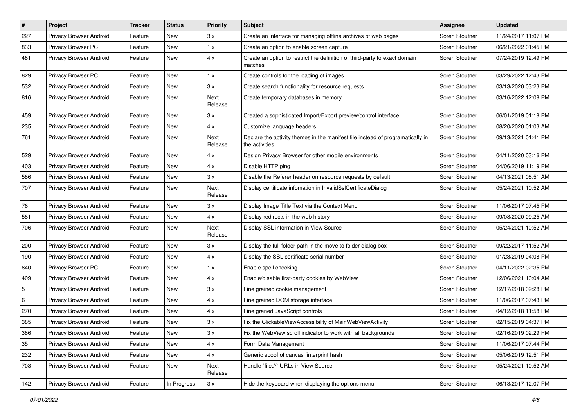| $\#$           | Project                        | <b>Tracker</b> | <b>Status</b> | <b>Priority</b>        | Subject                                                                                          | Assignee       | <b>Updated</b>      |
|----------------|--------------------------------|----------------|---------------|------------------------|--------------------------------------------------------------------------------------------------|----------------|---------------------|
| 227            | Privacy Browser Android        | Feature        | New           | 3.x                    | Create an interface for managing offline archives of web pages                                   | Soren Stoutner | 11/24/2017 11:07 PM |
| 833            | Privacy Browser PC             | Feature        | New           | 1.x                    | Create an option to enable screen capture                                                        | Soren Stoutner | 06/21/2022 01:45 PM |
| 481            | Privacy Browser Android        | Feature        | New           | 4.x                    | Create an option to restrict the definition of third-party to exact domain<br>matches            | Soren Stoutner | 07/24/2019 12:49 PM |
| 829            | Privacy Browser PC             | Feature        | New           | 1.x                    | Create controls for the loading of images                                                        | Soren Stoutner | 03/29/2022 12:43 PM |
| 532            | Privacy Browser Android        | Feature        | New           | 3.x                    | Create search functionality for resource requests                                                | Soren Stoutner | 03/13/2020 03:23 PM |
| 816            | Privacy Browser Android        | Feature        | New           | <b>Next</b><br>Release | Create temporary databases in memory                                                             | Soren Stoutner | 03/16/2022 12:08 PM |
| 459            | Privacy Browser Android        | Feature        | New           | 3.x                    | Created a sophisticated Import/Export preview/control interface                                  | Soren Stoutner | 06/01/2019 01:18 PM |
| 235            | Privacy Browser Android        | Feature        | New           | 4.x                    | Customize language headers                                                                       | Soren Stoutner | 08/20/2020 01:03 AM |
| 761            | <b>Privacy Browser Android</b> | Feature        | New           | <b>Next</b><br>Release | Declare the activity themes in the manifest file instead of programatically in<br>the activities | Soren Stoutner | 09/13/2021 01:41 PM |
| 529            | Privacy Browser Android        | Feature        | <b>New</b>    | 4.x                    | Design Privacy Browser for other mobile environments                                             | Soren Stoutner | 04/11/2020 03:16 PM |
| 403            | Privacy Browser Android        | Feature        | New           | 4.x                    | Disable HTTP ping                                                                                | Soren Stoutner | 04/06/2019 11:19 PM |
| 586            | Privacy Browser Android        | Feature        | New           | 3.x                    | Disable the Referer header on resource requests by default                                       | Soren Stoutner | 04/13/2021 08:51 AM |
| 707            | Privacy Browser Android        | Feature        | New           | <b>Next</b><br>Release | Display certificate infomation in InvalidSslCertificateDialog                                    | Soren Stoutner | 05/24/2021 10:52 AM |
| 76             | Privacy Browser Android        | Feature        | <b>New</b>    | 3.x                    | Display Image Title Text via the Context Menu                                                    | Soren Stoutner | 11/06/2017 07:45 PM |
| 581            | Privacy Browser Android        | Feature        | New           | 4.x                    | Display redirects in the web history                                                             | Soren Stoutner | 09/08/2020 09:25 AM |
| 706            | Privacy Browser Android        | Feature        | New           | Next<br>Release        | Display SSL information in View Source                                                           | Soren Stoutner | 05/24/2021 10:52 AM |
| 200            | Privacy Browser Android        | Feature        | New           | 3.x                    | Display the full folder path in the move to folder dialog box                                    | Soren Stoutner | 09/22/2017 11:52 AM |
| 190            | Privacy Browser Android        | Feature        | New           | 4.x                    | Display the SSL certificate serial number                                                        | Soren Stoutner | 01/23/2019 04:08 PM |
| 840            | Privacy Browser PC             | Feature        | New           | 1.x                    | Enable spell checking                                                                            | Soren Stoutner | 04/11/2022 02:35 PM |
| 409            | Privacy Browser Android        | Feature        | New           | 4.x                    | Enable/disable first-party cookies by WebView                                                    | Soren Stoutner | 12/06/2021 10:04 AM |
| $\overline{5}$ | Privacy Browser Android        | Feature        | New           | 3.x                    | Fine grained cookie management                                                                   | Soren Stoutner | 12/17/2018 09:28 PM |
| 6              | Privacy Browser Android        | Feature        | New           | 4.x                    | Fine grained DOM storage interface                                                               | Soren Stoutner | 11/06/2017 07:43 PM |
| 270            | Privacy Browser Android        | Feature        | New           | 4.x                    | Fine graned JavaScript controls                                                                  | Soren Stoutner | 04/12/2018 11:58 PM |
| 385            | Privacy Browser Android        | Feature        | New           | 3.x                    | Fix the ClickableViewAccessibility of MainWebViewActivity                                        | Soren Stoutner | 02/15/2019 04:37 PM |
| 386            | Privacy Browser Android        | Feature        | New           | 3.x                    | Fix the WebView scroll indicator to work with all backgrounds                                    | Soren Stoutner | 02/16/2019 02:29 PM |
| 35             | Privacy Browser Android        | Feature        | New           | 4.x                    | Form Data Management                                                                             | Soren Stoutner | 11/06/2017 07:44 PM |
| 232            | Privacy Browser Android        | Feature        | New           | 4.x                    | Generic spoof of canvas finterprint hash                                                         | Soren Stoutner | 05/06/2019 12:51 PM |
| 703            | Privacy Browser Android        | Feature        | New           | Next<br>Release        | Handle `file://` URLs in View Source                                                             | Soren Stoutner | 05/24/2021 10:52 AM |
| 142            | Privacy Browser Android        | Feature        | In Progress   | 3.x                    | Hide the keyboard when displaying the options menu                                               | Soren Stoutner | 06/13/2017 12:07 PM |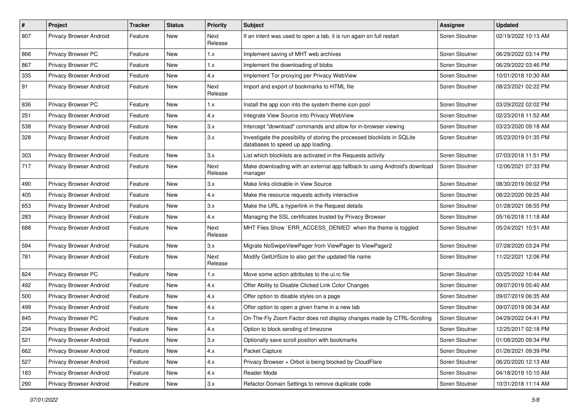| $\sharp$ | Project                 | <b>Tracker</b> | <b>Status</b> | <b>Priority</b>        | <b>Subject</b>                                                                                                  | Assignee       | <b>Updated</b>      |
|----------|-------------------------|----------------|---------------|------------------------|-----------------------------------------------------------------------------------------------------------------|----------------|---------------------|
| 807      | Privacy Browser Android | Feature        | New           | Next<br>Release        | If an intent was used to open a tab, it is run again on full restart                                            | Soren Stoutner | 02/19/2022 10:13 AM |
| 866      | Privacy Browser PC      | Feature        | New           | 1.x                    | Implement saving of MHT web archives                                                                            | Soren Stoutner | 06/29/2022 03:14 PM |
| 867      | Privacy Browser PC      | Feature        | New           | 1.x                    | Implement the downloading of blobs                                                                              | Soren Stoutner | 06/29/2022 03:46 PM |
| 335      | Privacy Browser Android | Feature        | <b>New</b>    | 4.x                    | Implement Tor proxying per Privacy WebView                                                                      | Soren Stoutner | 10/01/2018 10:30 AM |
| 91       | Privacy Browser Android | Feature        | New           | <b>Next</b><br>Release | Import and export of bookmarks to HTML file                                                                     | Soren Stoutner | 08/23/2021 02:22 PM |
| 836      | Privacy Browser PC      | Feature        | New           | 1.x                    | Install the app icon into the system theme icon pool                                                            | Soren Stoutner | 03/29/2022 02:02 PM |
| 251      | Privacy Browser Android | Feature        | <b>New</b>    | 4.x                    | Integrate View Source into Privacy WebView                                                                      | Soren Stoutner | 02/23/2018 11:52 AM |
| 538      | Privacy Browser Android | Feature        | New           | 3.x                    | Intercept "download" commands and allow for in-browser viewing                                                  | Soren Stoutner | 03/23/2020 09:18 AM |
| 328      | Privacy Browser Android | Feature        | New           | 3.x                    | Investigate the possibility of storing the processed blocklists in SQLite<br>databases to speed up app loading. | Soren Stoutner | 05/23/2019 01:35 PM |
| 303      | Privacy Browser Android | Feature        | <b>New</b>    | 3.x                    | List which blocklists are activated in the Requests activity                                                    | Soren Stoutner | 07/03/2018 11:51 PM |
| 717      | Privacy Browser Android | Feature        | New           | Next<br>Release        | Make downloading with an external app fallback to using Android's download<br>manager                           | Soren Stoutner | 12/06/2021 07:33 PM |
| 490      | Privacy Browser Android | Feature        | New           | 3.x                    | Make links clickable in View Source                                                                             | Soren Stoutner | 08/30/2019 09:02 PM |
| 405      | Privacy Browser Android | Feature        | <b>New</b>    | 4.x                    | Make the resource requests activity interactive                                                                 | Soren Stoutner | 08/22/2020 09:25 AM |
| 653      | Privacy Browser Android | Feature        | New           | 3.x                    | Make the URL a hyperlink in the Request details                                                                 | Soren Stoutner | 01/28/2021 08:55 PM |
| 283      | Privacy Browser Android | Feature        | New           | 4.x                    | Managing the SSL certificates trusted by Privacy Browser                                                        | Soren Stoutner | 05/16/2018 11:18 AM |
| 688      | Privacy Browser Android | Feature        | New           | Next<br>Release        | MHT Files Show `ERR_ACCESS_DENIED` when the theme is toggled                                                    | Soren Stoutner | 05/24/2021 10:51 AM |
| 594      | Privacy Browser Android | Feature        | New           | 3.x                    | Migrate NoSwipeViewPager from ViewPager to ViewPager2                                                           | Soren Stoutner | 07/28/2020 03:24 PM |
| 781      | Privacy Browser Android | Feature        | New           | <b>Next</b><br>Release | Modify GetUrlSize to also get the updated file name                                                             | Soren Stoutner | 11/22/2021 12:06 PM |
| 824      | Privacy Browser PC      | Feature        | <b>New</b>    | 1.x                    | Move some action attributes to the ui.rc file                                                                   | Soren Stoutner | 03/25/2022 10:44 AM |
| 492      | Privacy Browser Android | Feature        | New           | 4.x                    | Offer Ability to Disable Clicked Link Color Changes                                                             | Soren Stoutner | 09/07/2019 05:40 AM |
| 500      | Privacy Browser Android | Feature        | New           | 4.x                    | Offer option to disable styles on a page                                                                        | Soren Stoutner | 09/07/2019 06:35 AM |
| 499      | Privacy Browser Android | Feature        | New           | 4.x                    | Offer option to open a given frame in a new tab                                                                 | Soren Stoutner | 09/07/2019 06:34 AM |
| 845      | Privacy Browser PC      | Feature        | New           | 1.x                    | On-The-Fly Zoom Factor does not display changes made by CTRL-Scrolling                                          | Soren Stoutner | 04/29/2022 04:41 PM |
| 234      | Privacy Browser Android | Feature        | New           | 4.x                    | Option to block sending of timezone                                                                             | Soren Stoutner | 12/25/2017 02:18 PM |
| 521      | Privacy Browser Android | Feature        | New           | 3.x                    | Optionally save scroll position with bookmarks                                                                  | Soren Stoutner | 01/08/2020 09:34 PM |
| 662      | Privacy Browser Android | Feature        | New           | 4.x                    | Packet Capture                                                                                                  | Soren Stoutner | 01/28/2021 09:39 PM |
| 527      | Privacy Browser Android | Feature        | New           | 4.x                    | Privacy Browser + Orbot is being blocked by CloudFlare                                                          | Soren Stoutner | 06/20/2020 12:13 AM |
| 183      | Privacy Browser Android | Feature        | New           | 4.x                    | Reader Mode                                                                                                     | Soren Stoutner | 04/18/2019 10:10 AM |
| 290      | Privacy Browser Android | Feature        | New           | 3.x                    | Refactor Domain Settings to remove duplicate code                                                               | Soren Stoutner | 10/31/2018 11:14 AM |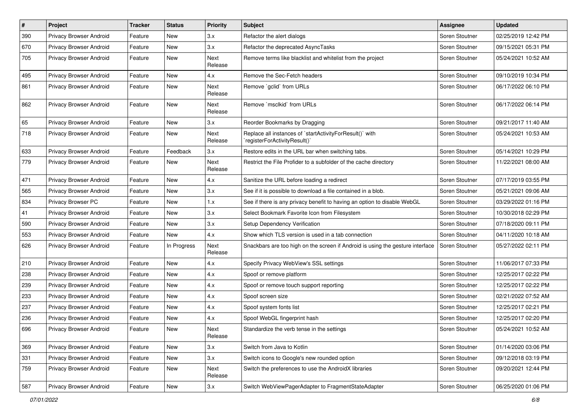| #   | Project                        | <b>Tracker</b> | <b>Status</b> | <b>Priority</b>        | Subject                                                                                 | Assignee       | <b>Updated</b>      |
|-----|--------------------------------|----------------|---------------|------------------------|-----------------------------------------------------------------------------------------|----------------|---------------------|
| 390 | Privacy Browser Android        | Feature        | New           | 3.x                    | Refactor the alert dialogs                                                              | Soren Stoutner | 02/25/2019 12:42 PM |
| 670 | Privacy Browser Android        | Feature        | New           | 3.x                    | Refactor the deprecated AsyncTasks                                                      | Soren Stoutner | 09/15/2021 05:31 PM |
| 705 | Privacy Browser Android        | Feature        | New           | <b>Next</b><br>Release | Remove terms like blacklist and whitelist from the project                              | Soren Stoutner | 05/24/2021 10:52 AM |
| 495 | Privacy Browser Android        | Feature        | New           | 4.x                    | Remove the Sec-Fetch headers                                                            | Soren Stoutner | 09/10/2019 10:34 PM |
| 861 | Privacy Browser Android        | Feature        | New           | Next<br>Release        | Remove `gclid` from URLs                                                                | Soren Stoutner | 06/17/2022 06:10 PM |
| 862 | Privacy Browser Android        | Feature        | New           | Next<br>Release        | Remove `msclkid` from URLs                                                              | Soren Stoutner | 06/17/2022 06:14 PM |
| 65  | Privacy Browser Android        | Feature        | New           | 3.x                    | Reorder Bookmarks by Dragging                                                           | Soren Stoutner | 09/21/2017 11:40 AM |
| 718 | Privacy Browser Android        | Feature        | New           | Next<br>Release        | Replace all instances of `startActivityForResult()` with<br>registerForActivityResult() | Soren Stoutner | 05/24/2021 10:53 AM |
| 633 | Privacy Browser Android        | Feature        | Feedback      | 3.x                    | Restore edits in the URL bar when switching tabs.                                       | Soren Stoutner | 05/14/2021 10:29 PM |
| 779 | <b>Privacy Browser Android</b> | Feature        | New           | Next<br>Release        | Restrict the File Profider to a subfolder of the cache directory                        | Soren Stoutner | 11/22/2021 08:00 AM |
| 471 | Privacy Browser Android        | Feature        | New           | 4.x                    | Sanitize the URL before loading a redirect                                              | Soren Stoutner | 07/17/2019 03:55 PM |
| 565 | Privacy Browser Android        | Feature        | New           | 3.x                    | See if it is possible to download a file contained in a blob.                           | Soren Stoutner | 05/21/2021 09:06 AM |
| 834 | Privacy Browser PC             | Feature        | New           | 1.x                    | See if there is any privacy benefit to having an option to disable WebGL                | Soren Stoutner | 03/29/2022 01:16 PM |
| 41  | Privacy Browser Android        | Feature        | New           | 3.x                    | Select Bookmark Favorite Icon from Filesystem                                           | Soren Stoutner | 10/30/2018 02:29 PM |
| 590 | Privacy Browser Android        | Feature        | New           | 3.x                    | Setup Dependency Verification                                                           | Soren Stoutner | 07/18/2020 09:11 PM |
| 553 | Privacy Browser Android        | Feature        | New           | 4.x                    | Show which TLS version is used in a tab connection                                      | Soren Stoutner | 04/11/2020 10:18 AM |
| 626 | Privacy Browser Android        | Feature        | In Progress   | Next<br>Release        | Snackbars are too high on the screen if Android is using the gesture interface          | Soren Stoutner | 05/27/2022 02:11 PM |
| 210 | Privacy Browser Android        | Feature        | New           | 4.x                    | Specify Privacy WebView's SSL settings                                                  | Soren Stoutner | 11/06/2017 07:33 PM |
| 238 | Privacy Browser Android        | Feature        | New           | 4.x                    | Spoof or remove platform                                                                | Soren Stoutner | 12/25/2017 02:22 PM |
| 239 | Privacy Browser Android        | Feature        | New           | 4.x                    | Spoof or remove touch support reporting                                                 | Soren Stoutner | 12/25/2017 02:22 PM |
| 233 | Privacy Browser Android        | Feature        | New           | 4.x                    | Spoof screen size                                                                       | Soren Stoutner | 02/21/2022 07:52 AM |
| 237 | Privacy Browser Android        | Feature        | New           | 4.x                    | Spoof system fonts list                                                                 | Soren Stoutner | 12/25/2017 02:21 PM |
| 236 | Privacy Browser Android        | Feature        | New           | 4.x                    | Spoof WebGL fingerprint hash                                                            | Soren Stoutner | 12/25/2017 02:20 PM |
| 696 | Privacy Browser Android        | Feature        | New           | Next<br>Release        | Standardize the verb tense in the settings                                              | Soren Stoutner | 05/24/2021 10:52 AM |
| 369 | Privacy Browser Android        | Feature        | New           | 3.x                    | Switch from Java to Kotlin                                                              | Soren Stoutner | 01/14/2020 03:06 PM |
| 331 | Privacy Browser Android        | Feature        | New           | 3.x                    | Switch icons to Google's new rounded option                                             | Soren Stoutner | 09/12/2018 03:19 PM |
| 759 | Privacy Browser Android        | Feature        | New           | Next<br>Release        | Switch the preferences to use the AndroidX libraries                                    | Soren Stoutner | 09/20/2021 12:44 PM |
| 587 | Privacy Browser Android        | Feature        | New           | 3.x                    | Switch WebViewPagerAdapter to FragmentStateAdapter                                      | Soren Stoutner | 06/25/2020 01:06 PM |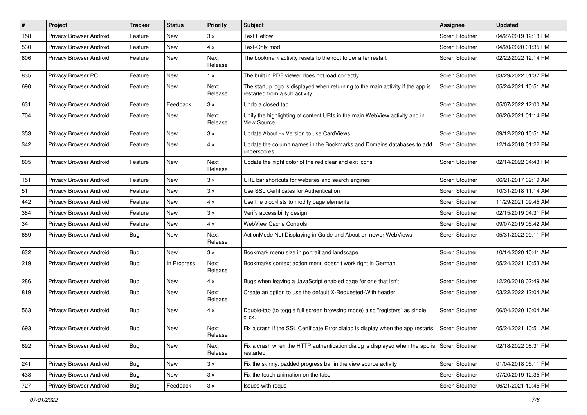| #   | Project                 | <b>Tracker</b> | <b>Status</b> | <b>Priority</b>        | <b>Subject</b>                                                                                                   | Assignee       | <b>Updated</b>      |
|-----|-------------------------|----------------|---------------|------------------------|------------------------------------------------------------------------------------------------------------------|----------------|---------------------|
| 158 | Privacy Browser Android | Feature        | New           | 3.x                    | <b>Text Reflow</b>                                                                                               | Soren Stoutner | 04/27/2019 12:13 PM |
| 530 | Privacy Browser Android | Feature        | <b>New</b>    | 4.x                    | Text-Only mod                                                                                                    | Soren Stoutner | 04/20/2020 01:35 PM |
| 806 | Privacy Browser Android | Feature        | New           | <b>Next</b><br>Release | The bookmark activity resets to the root folder after restart                                                    | Soren Stoutner | 02/22/2022 12:14 PM |
| 835 | Privacy Browser PC      | Feature        | <b>New</b>    | 1.x                    | The built in PDF viewer does not load correctly                                                                  | Soren Stoutner | 03/29/2022 01:37 PM |
| 690 | Privacy Browser Android | Feature        | New           | Next<br>Release        | The startup logo is displayed when returning to the main activity if the app is<br>restarted from a sub activity | Soren Stoutner | 05/24/2021 10:51 AM |
| 631 | Privacy Browser Android | Feature        | Feedback      | 3.x                    | Undo a closed tab                                                                                                | Soren Stoutner | 05/07/2022 12:00 AM |
| 704 | Privacy Browser Android | Feature        | New           | Next<br>Release        | Unify the highlighting of content URIs in the main WebView activity and in<br><b>View Source</b>                 | Soren Stoutner | 06/26/2021 01:14 PM |
| 353 | Privacy Browser Android | Feature        | New           | 3.x                    | Update About -> Version to use CardViews                                                                         | Soren Stoutner | 09/12/2020 10:51 AM |
| 342 | Privacy Browser Android | Feature        | New           | 4.x                    | Update the column names in the Bookmarks and Domains databases to add<br>underscores                             | Soren Stoutner | 12/14/2018 01:22 PM |
| 805 | Privacy Browser Android | Feature        | <b>New</b>    | <b>Next</b><br>Release | Update the night color of the red clear and exit icons                                                           | Soren Stoutner | 02/14/2022 04:43 PM |
| 151 | Privacy Browser Android | Feature        | New           | 3.x                    | URL bar shortcuts for websites and search engines                                                                | Soren Stoutner | 06/21/2017 09:19 AM |
| 51  | Privacy Browser Android | Feature        | New           | 3.x                    | Use SSL Certificates for Authentication                                                                          | Soren Stoutner | 10/31/2018 11:14 AM |
| 442 | Privacy Browser Android | Feature        | <b>New</b>    | 4.x                    | Use the blocklists to modify page elements                                                                       | Soren Stoutner | 11/29/2021 09:45 AM |
| 384 | Privacy Browser Android | Feature        | New           | 3.x                    | Verify accessibility design                                                                                      | Soren Stoutner | 02/15/2019 04:31 PM |
| 34  | Privacy Browser Android | Feature        | New           | 4.x                    | <b>WebView Cache Controls</b>                                                                                    | Soren Stoutner | 09/07/2019 05:42 AM |
| 689 | Privacy Browser Android | Bug            | New           | Next<br>Release        | ActionMode Not Displaying in Guide and About on newer WebViews                                                   | Soren Stoutner | 05/31/2022 09:11 PM |
| 632 | Privacy Browser Android | Bug            | <b>New</b>    | 3.x                    | Bookmark menu size in portrait and landscape                                                                     | Soren Stoutner | 10/14/2020 10:41 AM |
| 219 | Privacy Browser Android | Bug            | In Progress   | Next<br>Release        | Bookmarks context action menu doesn't work right in German                                                       | Soren Stoutner | 05/24/2021 10:53 AM |
| 286 | Privacy Browser Android | Bug            | New           | 4.x                    | Bugs when leaving a JavaScript enabled page for one that isn't                                                   | Soren Stoutner | 12/20/2018 02:49 AM |
| 819 | Privacy Browser Android | Bug            | New           | Next<br>Release        | Create an option to use the default X-Requested-With header                                                      | Soren Stoutner | 03/22/2022 12:04 AM |
| 563 | Privacy Browser Android | Bug            | <b>New</b>    | 4.x                    | Double-tap (to toggle full screen browsing mode) also "registers" as single<br>click.                            | Soren Stoutner | 06/04/2020 10:04 AM |
| 693 | Privacy Browser Android | <b>Bug</b>     | New           | Next<br>Release        | Fix a crash if the SSL Certificate Error dialog is display when the app restarts                                 | Soren Stoutner | 05/24/2021 10:51 AM |
| 692 | Privacy Browser Android | Bug            | New           | Next<br>Release        | Fix a crash when the HTTP authentication dialog is displayed when the app is<br>restarted                        | Soren Stoutner | 02/18/2022 08:31 PM |
| 241 | Privacy Browser Android | Bug            | New           | 3.x                    | Fix the skinny, padded progress bar in the view source activity                                                  | Soren Stoutner | 01/04/2018 05:11 PM |
| 438 | Privacy Browser Android | Bug            | New           | 3.x                    | Fix the touch animation on the tabs                                                                              | Soren Stoutner | 07/20/2019 12:35 PM |
| 727 | Privacy Browser Android | <b>Bug</b>     | Feedback      | $3.x$                  | Issues with rqqus                                                                                                | Soren Stoutner | 06/21/2021 10:45 PM |